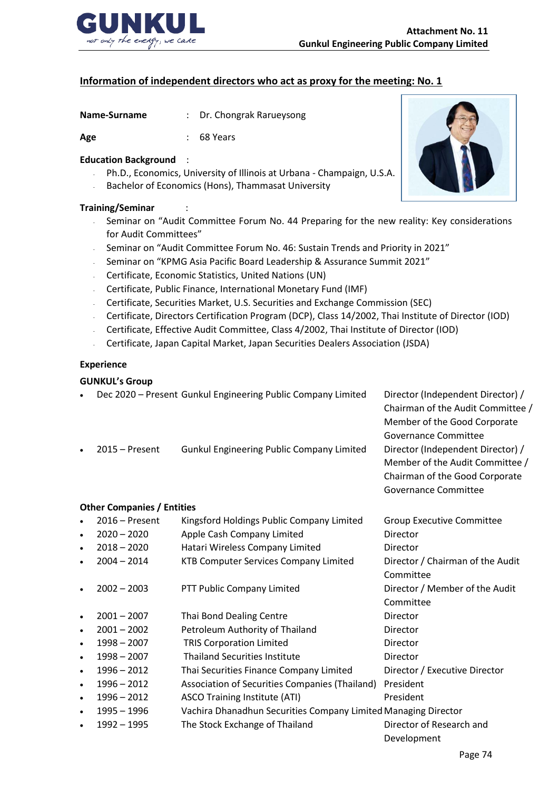

# **Information of independent directors who act as proxy for the meeting: No. 1**

| Name-Surname | : Dr. Chongrak Rarueysong |
|--------------|---------------------------|
| Age          | $: 68$ Years              |

**Education Background** :

- Ph.D., Economics, University of Illinois at Urbana Champaign, U.S.A.
- Bachelor of Economics (Hons), Thammasat University

### **Training/Seminar** :

- Seminar on "Audit Committee Forum No. 44 Preparing for the new reality: Key considerations for Audit Committees"
- Seminar on "Audit Committee Forum No. 46: Sustain Trends and Priority in 2021"
- Seminar on "KPMG Asia Pacific Board Leadership & Assurance Summit 2021"
- Certificate, Economic Statistics, United Nations (UN)
- Certificate, Public Finance, International Monetary Fund (IMF)
- Certificate, Securities Market, U.S. Securities and Exchange Commission (SEC)
- Certificate, Directors Certification Program (DCP), Class 14/2002, Thai Institute of Director (IOD)
- Certificate, Effective Audit Committee, Class 4/2002, Thai Institute of Director (IOD)
- Certificate, Japan Capital Market, Japan Securities Dealers Association (JSDA)

## **Experience**

## **GUNKUL's Group**

• Dec 2020 – Present Gunkul Engineering Public Company Limited Director (Independent Director) /

Chairman of the Audit Committee / Member of the Good Corporate Governance Committee • 2015 – Present Gunkul Engineering Public Company Limited Director (Independent Director) / Member of the Audit Committee / Chairman of the Good Corporate Governance Committee

### **Other Companies / Entities**

| $\bullet$ | $2016 -$ Present | Kingsford Holdings Public Company Limited                      | <b>Group Executive Committee</b> |
|-----------|------------------|----------------------------------------------------------------|----------------------------------|
| $\bullet$ | $2020 - 2020$    | Apple Cash Company Limited                                     | <b>Director</b>                  |
| $\bullet$ | $2018 - 2020$    | Hatari Wireless Company Limited                                | <b>Director</b>                  |
| $\bullet$ | $2004 - 2014$    | <b>KTB Computer Services Company Limited</b>                   | Director / Chairman of the Audit |
|           |                  |                                                                | Committee                        |
| $\bullet$ | $2002 - 2003$    | PTT Public Company Limited                                     | Director / Member of the Audit   |
|           |                  |                                                                | Committee                        |
| $\bullet$ | $2001 - 2007$    | Thai Bond Dealing Centre                                       | <b>Director</b>                  |
| $\bullet$ | $2001 - 2002$    | Petroleum Authority of Thailand                                | <b>Director</b>                  |
| $\bullet$ | $1998 - 2007$    | <b>TRIS Corporation Limited</b>                                | <b>Director</b>                  |
| $\bullet$ | $1998 - 2007$    | <b>Thailand Securities Institute</b>                           | <b>Director</b>                  |
| $\bullet$ | $1996 - 2012$    | Thai Securities Finance Company Limited                        | Director / Executive Director    |
| $\bullet$ | $1996 - 2012$    | Association of Securities Companies (Thailand)                 | President                        |
| $\bullet$ | $1996 - 2012$    | ASCO Training Institute (ATI)                                  | President                        |
| $\bullet$ | 1995 - 1996      | Vachira Dhanadhun Securities Company Limited Managing Director |                                  |
| $\bullet$ | $1992 - 1995$    | The Stock Exchange of Thailand                                 | Director of Research and         |
|           |                  |                                                                | Development                      |
|           |                  |                                                                |                                  |

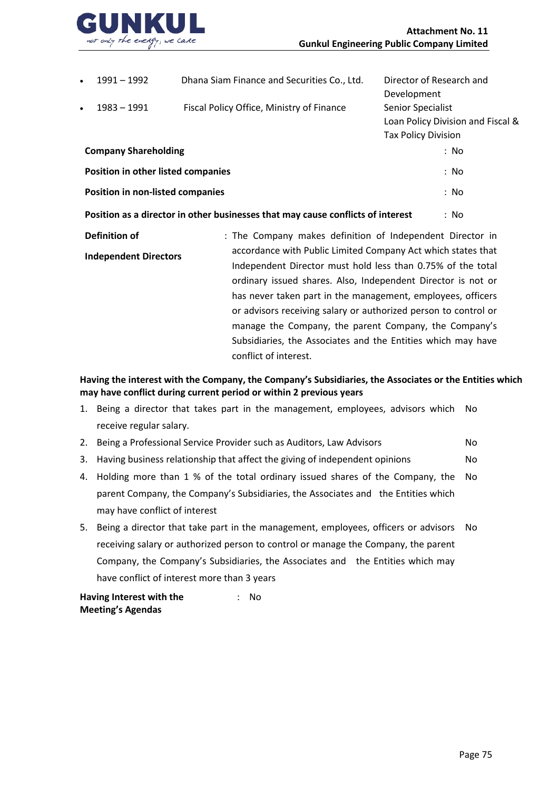

| $\bullet$ | $1991 - 1992$                                                                   | Dhana Siam Finance and Securities Co., Ltd. | Director of Research and          |
|-----------|---------------------------------------------------------------------------------|---------------------------------------------|-----------------------------------|
|           |                                                                                 |                                             | Development                       |
| $\bullet$ | 1983 – 1991                                                                     | Fiscal Policy Office, Ministry of Finance   | Senior Specialist                 |
|           |                                                                                 |                                             | Loan Policy Division and Fiscal & |
|           |                                                                                 |                                             | <b>Tax Policy Division</b>        |
|           | <b>Company Shareholding</b>                                                     | : No                                        |                                   |
|           | Position in other listed companies                                              | : No                                        |                                   |
|           | <b>Position in non-listed companies</b>                                         | : No                                        |                                   |
|           | Position as a director in other businesses that may cause conflicts of interest | : No                                        |                                   |

**Definition of Independent Directors** : The Company makes definition of Independent Director in accordance with Public Limited Company Act which states that Independent Director must hold less than 0.75% of the total ordinary issued shares. Also, Independent Director is not or has never taken part in the management, employees, officers or advisors receiving salary or authorized person to control or manage the Company, the parent Company, the Company's Subsidiaries, the Associates and the Entities which may have conflict of interest.

**Having the interest with the Company, the Company's Subsidiaries, the Associates or the Entities which may have conflict during current period or within 2 previous years**

- 1. Being a director that takes part in the management, employees, advisors which No receive regular salary.
- 2. Being a Professional Service Provider such as Auditors, Law Advisors No
- 3. Having business relationship that affect the giving of independent opinions No
- 4. Holding more than 1 % of the total ordinary issued shares of the Company, the parent Company, the Company's Subsidiaries, the Associates and the Entities which may have conflict of interest No
- 5. Being a director that take part in the management, employees, officers or advisors No receiving salary or authorized person to control or manage the Company, the parent Company, the Company's Subsidiaries, the Associates and the Entities which may have conflict of interest more than 3 years

**Having Interest with the Meeting's Agendas** : No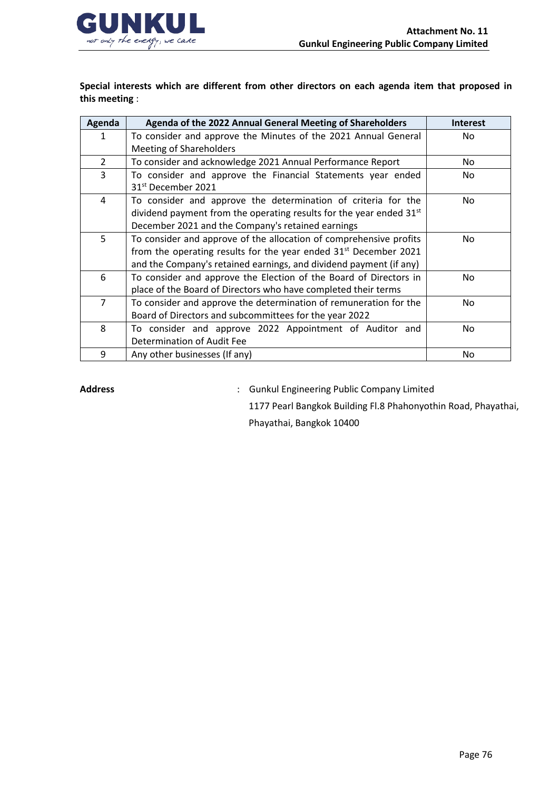**Special interests which are different from other directors on each agenda item that proposed in this meeting** :

| Agenda         | Agenda of the 2022 Annual General Meeting of Shareholders                    | <b>Interest</b> |
|----------------|------------------------------------------------------------------------------|-----------------|
| 1              | To consider and approve the Minutes of the 2021 Annual General               | No.             |
|                | <b>Meeting of Shareholders</b>                                               |                 |
| $\mathcal{L}$  | To consider and acknowledge 2021 Annual Performance Report                   | No.             |
| 3              | To consider and approve the Financial Statements year ended                  | No              |
|                | 31 <sup>st</sup> December 2021                                               |                 |
| 4              | To consider and approve the determination of criteria for the                | No.             |
|                | dividend payment from the operating results for the year ended $31st$        |                 |
|                | December 2021 and the Company's retained earnings                            |                 |
| 5              | To consider and approve of the allocation of comprehensive profits           | No.             |
|                | from the operating results for the year ended 31 <sup>st</sup> December 2021 |                 |
|                | and the Company's retained earnings, and dividend payment (if any)           |                 |
| 6              | To consider and approve the Election of the Board of Directors in            | No.             |
|                | place of the Board of Directors who have completed their terms               |                 |
| $\overline{7}$ | To consider and approve the determination of remuneration for the            | No.             |
|                | Board of Directors and subcommittees for the year 2022                       |                 |
| 8              | To consider and approve 2022 Appointment of Auditor and                      | No.             |
|                | Determination of Audit Fee                                                   |                 |
| 9              | Any other businesses (If any)                                                | No.             |

**Address** : Gunkul Engineering Public Company Limited

1177 Pearl Bangkok Building Fl.8 Phahonyothin Road, Phayathai,

Phayathai, Bangkok 10400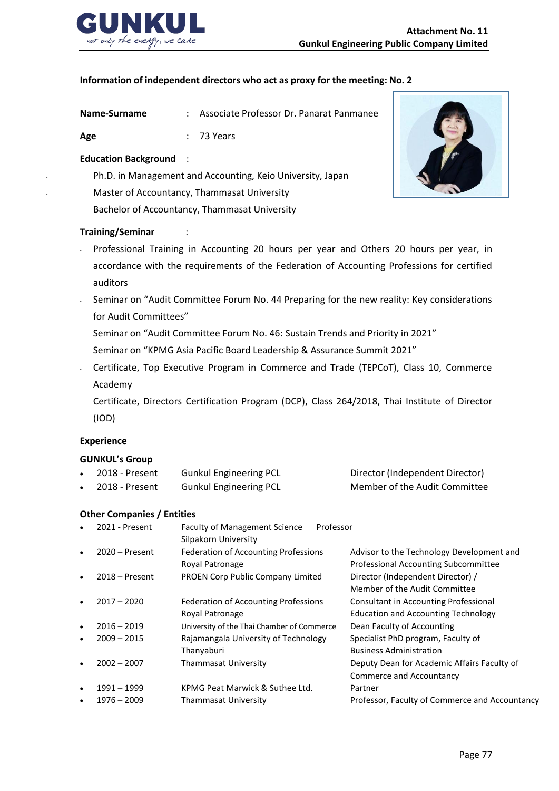

## **Information of independent directors who act as proxy for the meeting: No. 2**

| Associate Professor Dr. Panarat Panmanee<br>Name-Surname |  |
|----------------------------------------------------------|--|
|----------------------------------------------------------|--|

**Age** : 73 Years

## **Education Background** :

- Ph.D. in Management and Accounting, Keio University, Japan
- Master of Accountancy, Thammasat University
- Bachelor of Accountancy, Thammasat University

## **Training/Seminar** :

- Professional Training in Accounting 20 hours per year and Others 20 hours per year, in accordance with the requirements of the Federation of Accounting Professions for certified auditors
- Seminar on "Audit Committee Forum No. 44 Preparing for the new reality: Key considerations for Audit Committees"
- Seminar on "Audit Committee Forum No. 46: Sustain Trends and Priority in 2021"
- Seminar on "KPMG Asia Pacific Board Leadership & Assurance Summit 2021"
- Certificate, Top Executive Program in Commerce and Trade (TEPCoT), Class 10, Commerce Academy
- Certificate, Directors Certification Program (DCP), Class 264/2018, Thai Institute of Director (IOD)

### **Experience**

### **GUNKUL's Group**

| 2018 - Present | <b>Gunkul Engineering PCL</b> | Director (Independent Director) |
|----------------|-------------------------------|---------------------------------|
| 2018 - Present | <b>Gunkul Engineering PCL</b> | Member of the Audit Committee   |

### **Other Companies / Entities**

| $\bullet$ | 2021 - Present   | Professor<br><b>Faculty of Management Science</b><br>Silpakorn University |                                                                                   |
|-----------|------------------|---------------------------------------------------------------------------|-----------------------------------------------------------------------------------|
| $\bullet$ | $2020 -$ Present | Federation of Accounting Professions<br>Royal Patronage                   | Advisor to the Technology Development and<br>Professional Accounting Subcommittee |
| $\bullet$ | $2018 -$ Present | PROEN Corp Public Company Limited                                         | Director (Independent Director) /<br>Member of the Audit Committee                |
| $\bullet$ | $2017 - 2020$    | Federation of Accounting Professions                                      | Consultant in Accounting Professional                                             |
| $\bullet$ | $2016 - 2019$    | Royal Patronage<br>University of the Thai Chamber of Commerce             | <b>Education and Accounting Technology</b><br>Dean Faculty of Accounting          |
| $\bullet$ | $2009 - 2015$    | Rajamangala University of Technology                                      | Specialist PhD program, Faculty of                                                |
| $\bullet$ | $2002 - 2007$    | Thanyaburi<br><b>Thammasat University</b>                                 | <b>Business Administration</b><br>Deputy Dean for Academic Affairs Faculty of     |
|           |                  |                                                                           | Commerce and Accountancy                                                          |
| $\bullet$ | 1991 - 1999      | KPMG Peat Marwick & Suthee Ltd.                                           | Partner                                                                           |
| $\bullet$ | $1976 - 2009$    | Thammasat University                                                      | Professor, Faculty of Commerce and Accountancy                                    |

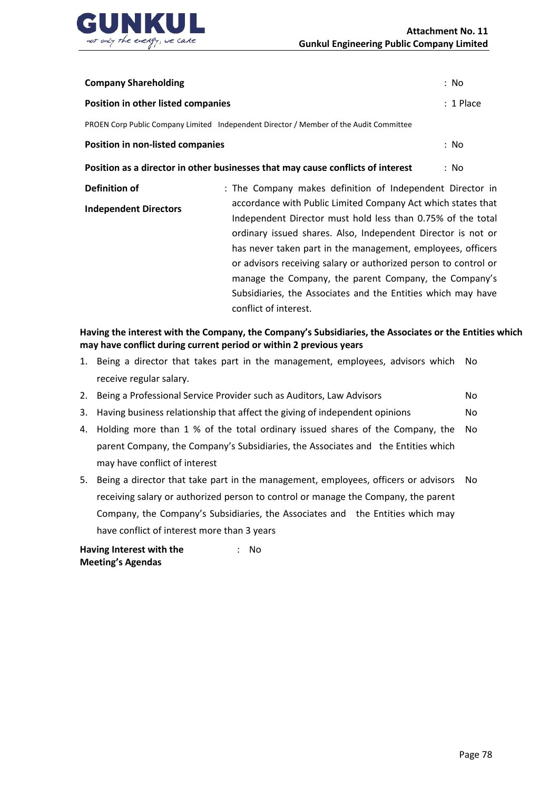

| <b>Company Shareholding</b>               |                                                                                        | : No        |
|-------------------------------------------|----------------------------------------------------------------------------------------|-------------|
| <b>Position in other listed companies</b> |                                                                                        | $: 1$ Place |
|                                           | PROEN Corp Public Company Limited Independent Director / Member of the Audit Committee |             |
| <b>Position in non-listed companies</b>   |                                                                                        | : No        |
|                                           | Position as a director in other businesses that may cause conflicts of interest        | : No        |
| Definition of                             | : The Company makes definition of Independent Director in                              |             |

**Independent Directors** accordance with Public Limited Company Act which states that Independent Director must hold less than 0.75% of the total ordinary issued shares. Also, Independent Director is not or has never taken part in the management, employees, officers or advisors receiving salary or authorized person to control or manage the Company, the parent Company, the Company's Subsidiaries, the Associates and the Entities which may have conflict of interest.

**Having the interest with the Company, the Company's Subsidiaries, the Associates or the Entities which may have conflict during current period or within 2 previous years**

- 1. Being a director that takes part in the management, employees, advisors which receive regular salary. No
- 2. Being a Professional Service Provider such as Auditors, Law Advisors No
- 3. Having business relationship that affect the giving of independent opinions No
- 4. Holding more than 1 % of the total ordinary issued shares of the Company, the parent Company, the Company's Subsidiaries, the Associates and the Entities which may have conflict of interest No
- 5. Being a director that take part in the management, employees, officers or advisors No receiving salary or authorized person to control or manage the Company, the parent Company, the Company's Subsidiaries, the Associates and the Entities which may have conflict of interest more than 3 years

**Having Interest with the Meeting's Agendas** : No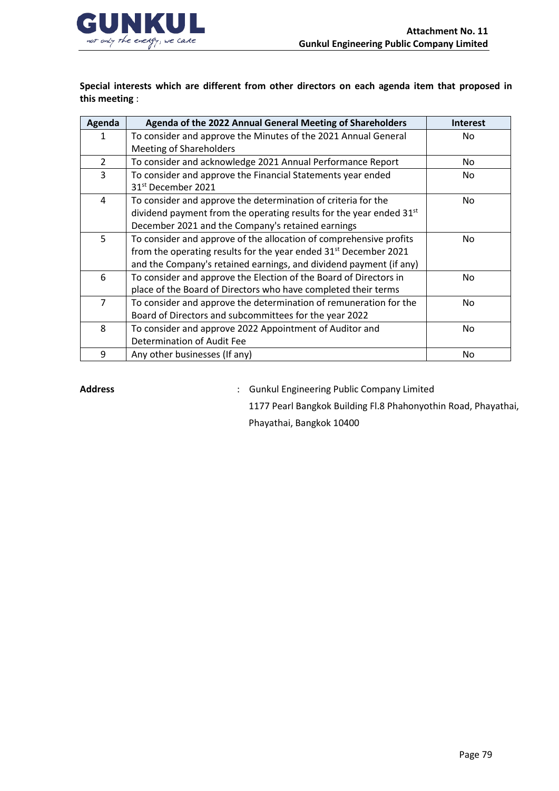

**Special interests which are different from other directors on each agenda item that proposed in this meeting** :

| Agenda         | Agenda of the 2022 Annual General Meeting of Shareholders                       | <b>Interest</b> |
|----------------|---------------------------------------------------------------------------------|-----------------|
| $\mathbf{1}$   | To consider and approve the Minutes of the 2021 Annual General                  | No.             |
|                | <b>Meeting of Shareholders</b>                                                  |                 |
| $\overline{2}$ | To consider and acknowledge 2021 Annual Performance Report                      | No              |
| 3              | To consider and approve the Financial Statements year ended                     | No              |
|                | 31 <sup>st</sup> December 2021                                                  |                 |
| 4              | To consider and approve the determination of criteria for the                   | No.             |
|                | dividend payment from the operating results for the year ended 31 <sup>st</sup> |                 |
|                | December 2021 and the Company's retained earnings                               |                 |
| 5              | To consider and approve of the allocation of comprehensive profits              | No.             |
|                | from the operating results for the year ended 31 <sup>st</sup> December 2021    |                 |
|                | and the Company's retained earnings, and dividend payment (if any)              |                 |
| 6              | To consider and approve the Election of the Board of Directors in               | No.             |
|                | place of the Board of Directors who have completed their terms                  |                 |
| $\overline{7}$ | To consider and approve the determination of remuneration for the               | No.             |
|                | Board of Directors and subcommittees for the year 2022                          |                 |
| 8              | To consider and approve 2022 Appointment of Auditor and                         | No.             |
|                | Determination of Audit Fee                                                      |                 |
| 9              | Any other businesses (If any)                                                   | No.             |

**Address** : Gunkul Engineering Public Company Limited

1177 Pearl Bangkok Building Fl.8 Phahonyothin Road, Phayathai,

Phayathai, Bangkok 10400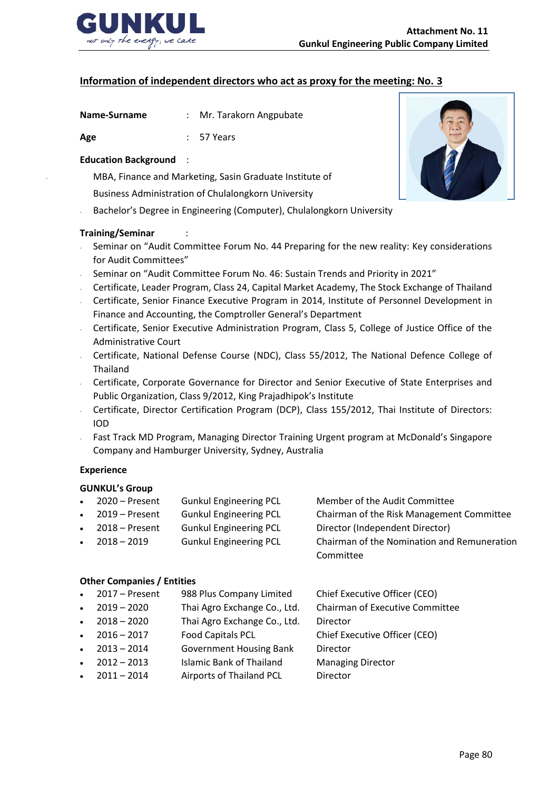

# **Information of independent directors who act as proxy for the meeting: No. 3**

| Name-Surname |  | Mr. Tarakorn Angpubate |
|--------------|--|------------------------|
|--------------|--|------------------------|

**Age** : 57 Years

## **Education Background** :

MBA, Finance and Marketing, Sasin Graduate Institute of

Business Administration of Chulalongkorn University

Bachelor's Degree in Engineering (Computer), Chulalongkorn University

#### **Training/Seminar** :

- Seminar on "Audit Committee Forum No. 44 Preparing for the new reality: Key considerations for Audit Committees"
- Seminar on "Audit Committee Forum No. 46: Sustain Trends and Priority in 2021"
- Certificate, Leader Program, Class 24, Capital Market Academy, The Stock Exchange of Thailand
- Certificate, Senior Finance Executive Program in 2014, Institute of Personnel Development in Finance and Accounting, the Comptroller General's Department
- Certificate, Senior Executive Administration Program, Class 5, College of Justice Office of the Administrative Court
- Certificate, National Defense Course (NDC), Class 55/2012, The National Defence College of Thailand
- Certificate, Corporate Governance for Director and Senior Executive of State Enterprises and Public Organization, Class 9/2012, King Prajadhipok's Institute
- Certificate, Director Certification Program (DCP), Class 155/2012, Thai Institute of Directors: IOD
- Fast Track MD Program, Managing Director Training Urgent program at McDonald's Singapore Company and Hamburger University, Sydney, Australia

### **Experience**

### **GUNKUL's Group**

|           | 2020 – Present           | <b>Gunkul Engineering PCL</b> | Member of the Audit Committee               |
|-----------|--------------------------|-------------------------------|---------------------------------------------|
|           | $\bullet$ 2019 – Present | <b>Gunkul Engineering PCL</b> | Chairman of the Risk Management Committee   |
| $\bullet$ | 2018 – Present           | <b>Gunkul Engineering PCL</b> | Director (Independent Director)             |
|           | $\cdot$ 2018 – 2019      | <b>Gunkul Engineering PCL</b> | Chairman of the Nomination and Remuneration |

Committee

### **Other Companies / Entities**

• 2017 – Present 988 Plus Company Limited Chief Executive Officer (CEO) • 2019 – 2020 Thai Agro Exchange Co., Ltd. Chairman of Executive Committee • 2018 – 2020 Thai Agro Exchange Co., Ltd. Director • 2016 – 2017 Food Capitals PCL Chief Executive Officer (CEO) • 2013 – 2014 Government Housing Bank Director • 2012 – 2013 Islamic Bank of Thailand Managing Director • 2011 – 2014 Airports of Thailand PCL Director

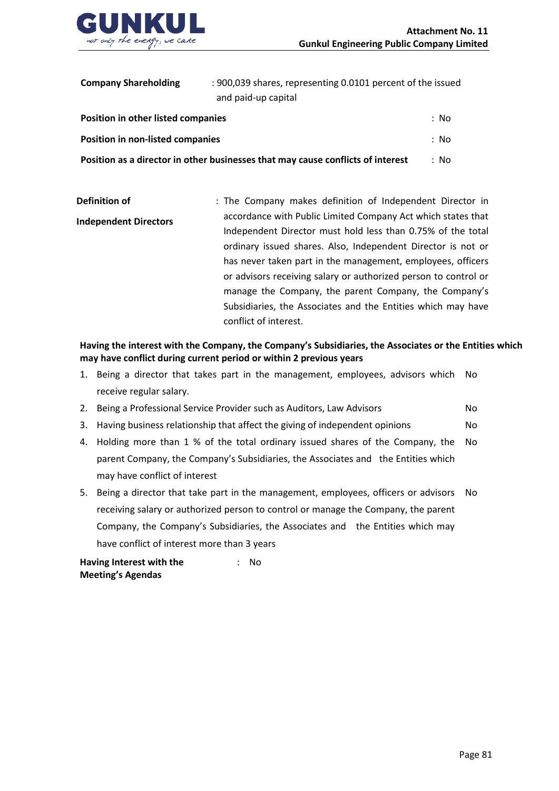

| : 900,039 shares, representing 0.0101 percent of the issued<br><b>Company Shareholding</b> |                                                                                 |      |
|--------------------------------------------------------------------------------------------|---------------------------------------------------------------------------------|------|
|                                                                                            | and paid-up capital                                                             |      |
| Position in other listed companies                                                         |                                                                                 | : No |
| <b>Position in non-listed companies</b>                                                    |                                                                                 | : No |
|                                                                                            | Position as a director in other businesses that may cause conflicts of interest | : No |

| <b>Definition of</b>         | : The Company makes definition of Independent Director in       |  |
|------------------------------|-----------------------------------------------------------------|--|
| <b>Independent Directors</b> | accordance with Public Limited Company Act which states that    |  |
|                              | Independent Director must hold less than 0.75% of the total     |  |
|                              | ordinary issued shares. Also, Independent Director is not or    |  |
|                              | has never taken part in the management, employees, officers     |  |
|                              | or advisors receiving salary or authorized person to control or |  |
|                              | manage the Company, the parent Company, the Company's           |  |
|                              | Subsidiaries, the Associates and the Entities which may have    |  |
|                              | conflict of interest.                                           |  |

**Having the interest with the Company, the Company's Subsidiaries, the Associates or the Entities which may have conflict during current period or within 2 previous years**

- 1. Being a director that takes part in the management, employees, advisors which receive regular salary. No
- 2. Being a Professional Service Provider such as Auditors, Law Advisors No
- 3. Having business relationship that affect the giving of independent opinions No
- 4. Holding more than 1 % of the total ordinary issued shares of the Company, the parent Company, the Company's Subsidiaries, the Associates and the Entities which may have conflict of interest No
- 5. Being a director that take part in the management, employees, officers or advisors No receiving salary or authorized person to control or manage the Company, the parent Company, the Company's Subsidiaries, the Associates and the Entities which may have conflict of interest more than 3 years

**Having Interest with the Meeting's Agendas** : No